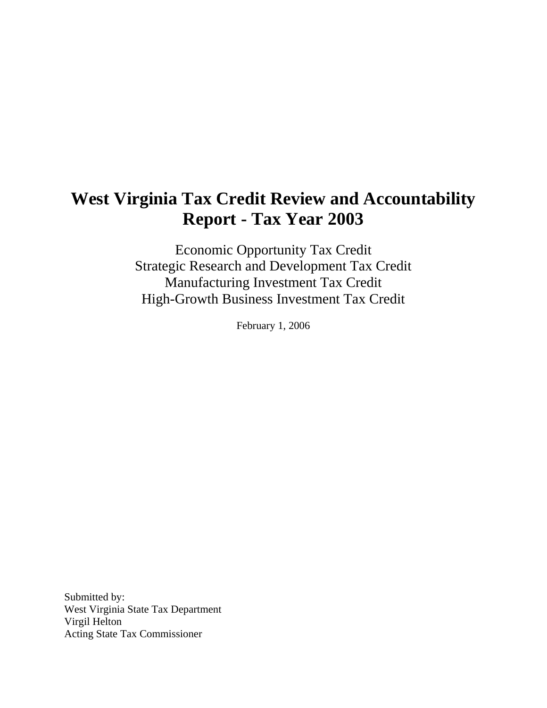# **West Virginia Tax Credit Review and Accountability Report - Tax Year 2003**

Economic Opportunity Tax Credit Strategic Research and Development Tax Credit Manufacturing Investment Tax Credit High-Growth Business Investment Tax Credit

February 1, 2006

Submitted by: West Virginia State Tax Department Virgil Helton Acting State Tax Commissioner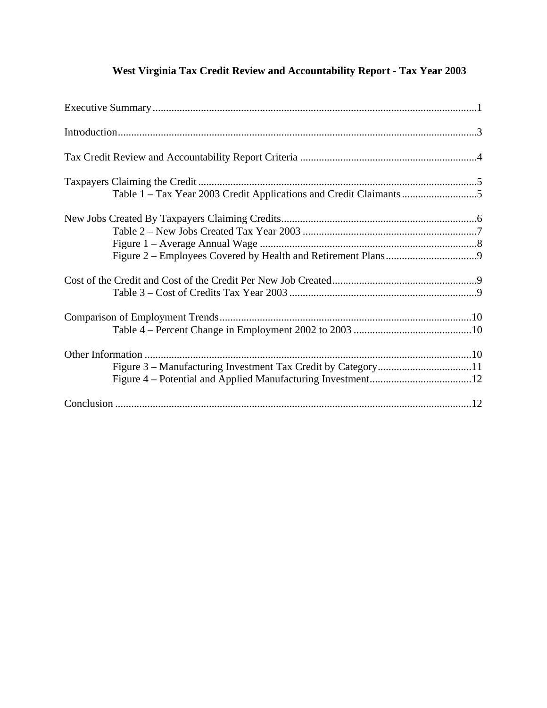## **West Virginia Tax Credit Review and Accountability Report - Tax Year 2003**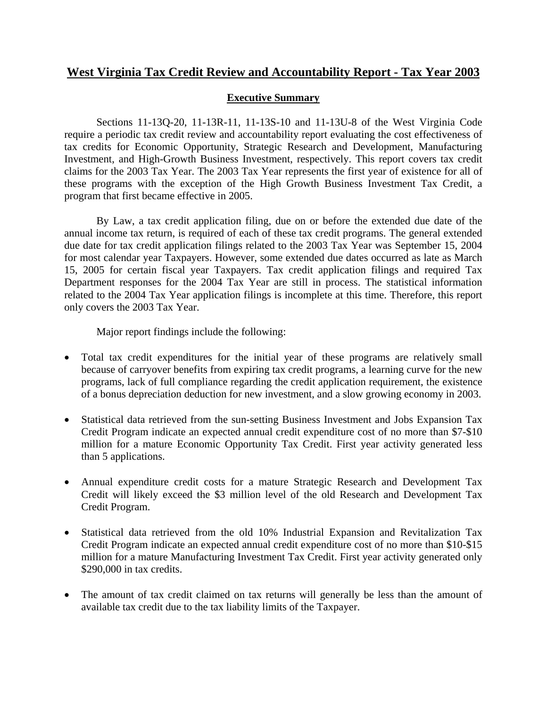### **West Virginia Tax Credit Review and Accountability Report - Tax Year 2003**

#### **Executive Summary**

 Sections 11-13Q-20, 11-13R-11, 11-13S-10 and 11-13U-8 of the West Virginia Code require a periodic tax credit review and accountability report evaluating the cost effectiveness of tax credits for Economic Opportunity, Strategic Research and Development, Manufacturing Investment, and High-Growth Business Investment, respectively. This report covers tax credit claims for the 2003 Tax Year. The 2003 Tax Year represents the first year of existence for all of these programs with the exception of the High Growth Business Investment Tax Credit, a program that first became effective in 2005.

 By Law, a tax credit application filing, due on or before the extended due date of the annual income tax return, is required of each of these tax credit programs. The general extended due date for tax credit application filings related to the 2003 Tax Year was September 15, 2004 for most calendar year Taxpayers. However, some extended due dates occurred as late as March 15, 2005 for certain fiscal year Taxpayers. Tax credit application filings and required Tax Department responses for the 2004 Tax Year are still in process. The statistical information related to the 2004 Tax Year application filings is incomplete at this time. Therefore, this report only covers the 2003 Tax Year.

Major report findings include the following:

- Total tax credit expenditures for the initial year of these programs are relatively small because of carryover benefits from expiring tax credit programs, a learning curve for the new programs, lack of full compliance regarding the credit application requirement, the existence of a bonus depreciation deduction for new investment, and a slow growing economy in 2003.
- Statistical data retrieved from the sun-setting Business Investment and Jobs Expansion Tax Credit Program indicate an expected annual credit expenditure cost of no more than \$7-\$10 million for a mature Economic Opportunity Tax Credit. First year activity generated less than 5 applications.
- Annual expenditure credit costs for a mature Strategic Research and Development Tax Credit will likely exceed the \$3 million level of the old Research and Development Tax Credit Program.
- Statistical data retrieved from the old 10% Industrial Expansion and Revitalization Tax Credit Program indicate an expected annual credit expenditure cost of no more than \$10-\$15 million for a mature Manufacturing Investment Tax Credit. First year activity generated only \$290,000 in tax credits.
- The amount of tax credit claimed on tax returns will generally be less than the amount of available tax credit due to the tax liability limits of the Taxpayer.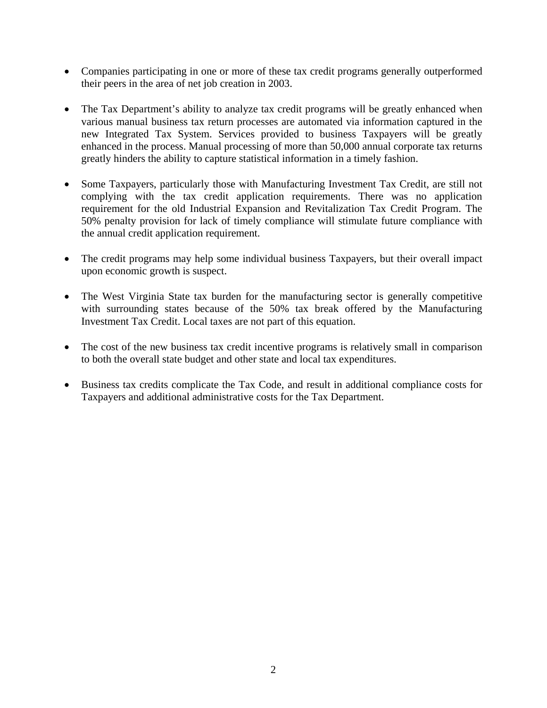- Companies participating in one or more of these tax credit programs generally outperformed their peers in the area of net job creation in 2003.
- The Tax Department's ability to analyze tax credit programs will be greatly enhanced when various manual business tax return processes are automated via information captured in the new Integrated Tax System. Services provided to business Taxpayers will be greatly enhanced in the process. Manual processing of more than 50,000 annual corporate tax returns greatly hinders the ability to capture statistical information in a timely fashion.
- Some Taxpayers, particularly those with Manufacturing Investment Tax Credit, are still not complying with the tax credit application requirements. There was no application requirement for the old Industrial Expansion and Revitalization Tax Credit Program. The 50% penalty provision for lack of timely compliance will stimulate future compliance with the annual credit application requirement.
- The credit programs may help some individual business Taxpayers, but their overall impact upon economic growth is suspect.
- The West Virginia State tax burden for the manufacturing sector is generally competitive with surrounding states because of the 50% tax break offered by the Manufacturing Investment Tax Credit. Local taxes are not part of this equation.
- The cost of the new business tax credit incentive programs is relatively small in comparison to both the overall state budget and other state and local tax expenditures.
- Business tax credits complicate the Tax Code, and result in additional compliance costs for Taxpayers and additional administrative costs for the Tax Department.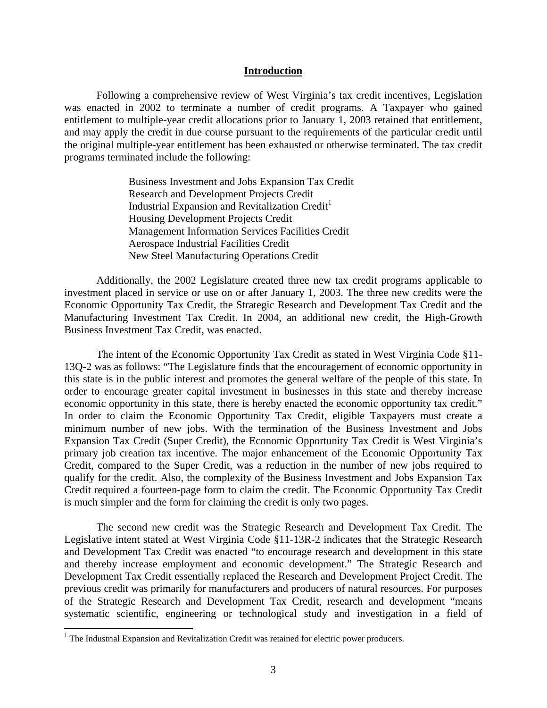#### **Introduction**

Following a comprehensive review of West Virginia's tax credit incentives, Legislation was enacted in 2002 to terminate a number of credit programs. A Taxpayer who gained entitlement to multiple-year credit allocations prior to January 1, 2003 retained that entitlement, and may apply the credit in due course pursuant to the requirements of the particular credit until the original multiple-year entitlement has been exhausted or otherwise terminated. The tax credit programs terminated include the following:

> Business Investment and Jobs Expansion Tax Credit Research and Development Projects Credit Industrial Expansion and Revitalization Credit<sup>1</sup> Housing Development Projects Credit Management Information Services Facilities Credit Aerospace Industrial Facilities Credit New Steel Manufacturing Operations Credit

Additionally, the 2002 Legislature created three new tax credit programs applicable to investment placed in service or use on or after January 1, 2003. The three new credits were the Economic Opportunity Tax Credit, the Strategic Research and Development Tax Credit and the Manufacturing Investment Tax Credit. In 2004, an additional new credit, the High-Growth Business Investment Tax Credit, was enacted.

The intent of the Economic Opportunity Tax Credit as stated in West Virginia Code §11- 13Q-2 was as follows: "The Legislature finds that the encouragement of economic opportunity in this state is in the public interest and promotes the general welfare of the people of this state. In order to encourage greater capital investment in businesses in this state and thereby increase economic opportunity in this state, there is hereby enacted the economic opportunity tax credit." In order to claim the Economic Opportunity Tax Credit, eligible Taxpayers must create a minimum number of new jobs. With the termination of the Business Investment and Jobs Expansion Tax Credit (Super Credit), the Economic Opportunity Tax Credit is West Virginia's primary job creation tax incentive. The major enhancement of the Economic Opportunity Tax Credit, compared to the Super Credit, was a reduction in the number of new jobs required to qualify for the credit. Also, the complexity of the Business Investment and Jobs Expansion Tax Credit required a fourteen-page form to claim the credit. The Economic Opportunity Tax Credit is much simpler and the form for claiming the credit is only two pages.

The second new credit was the Strategic Research and Development Tax Credit. The Legislative intent stated at West Virginia Code §11-13R-2 indicates that the Strategic Research and Development Tax Credit was enacted "to encourage research and development in this state and thereby increase employment and economic development." The Strategic Research and Development Tax Credit essentially replaced the Research and Development Project Credit. The previous credit was primarily for manufacturers and producers of natural resources. For purposes of the Strategic Research and Development Tax Credit, research and development "means systematic scientific, engineering or technological study and investigation in a field of

 $\overline{a}$ 

 $<sup>1</sup>$  The Industrial Expansion and Revitalization Credit was retained for electric power producers.</sup>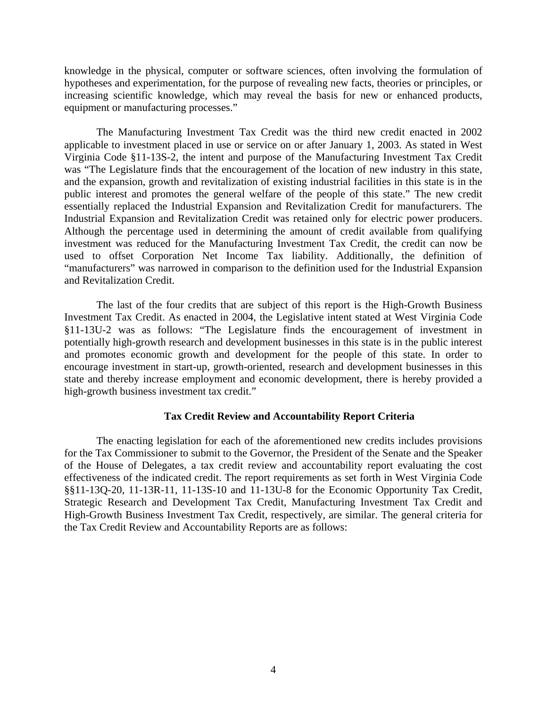knowledge in the physical, computer or software sciences, often involving the formulation of hypotheses and experimentation, for the purpose of revealing new facts, theories or principles, or increasing scientific knowledge, which may reveal the basis for new or enhanced products, equipment or manufacturing processes."

The Manufacturing Investment Tax Credit was the third new credit enacted in 2002 applicable to investment placed in use or service on or after January 1, 2003. As stated in West Virginia Code §11-13S-2, the intent and purpose of the Manufacturing Investment Tax Credit was "The Legislature finds that the encouragement of the location of new industry in this state, and the expansion, growth and revitalization of existing industrial facilities in this state is in the public interest and promotes the general welfare of the people of this state." The new credit essentially replaced the Industrial Expansion and Revitalization Credit for manufacturers. The Industrial Expansion and Revitalization Credit was retained only for electric power producers. Although the percentage used in determining the amount of credit available from qualifying investment was reduced for the Manufacturing Investment Tax Credit, the credit can now be used to offset Corporation Net Income Tax liability. Additionally, the definition of "manufacturers" was narrowed in comparison to the definition used for the Industrial Expansion and Revitalization Credit.

The last of the four credits that are subject of this report is the High-Growth Business Investment Tax Credit. As enacted in 2004, the Legislative intent stated at West Virginia Code §11-13U-2 was as follows: "The Legislature finds the encouragement of investment in potentially high-growth research and development businesses in this state is in the public interest and promotes economic growth and development for the people of this state. In order to encourage investment in start-up, growth-oriented, research and development businesses in this state and thereby increase employment and economic development, there is hereby provided a high-growth business investment tax credit."

#### **Tax Credit Review and Accountability Report Criteria**

The enacting legislation for each of the aforementioned new credits includes provisions for the Tax Commissioner to submit to the Governor, the President of the Senate and the Speaker of the House of Delegates, a tax credit review and accountability report evaluating the cost effectiveness of the indicated credit. The report requirements as set forth in West Virginia Code §§11-13Q-20, 11-13R-11, 11-13S-10 and 11-13U-8 for the Economic Opportunity Tax Credit, Strategic Research and Development Tax Credit, Manufacturing Investment Tax Credit and High-Growth Business Investment Tax Credit, respectively, are similar. The general criteria for the Tax Credit Review and Accountability Reports are as follows: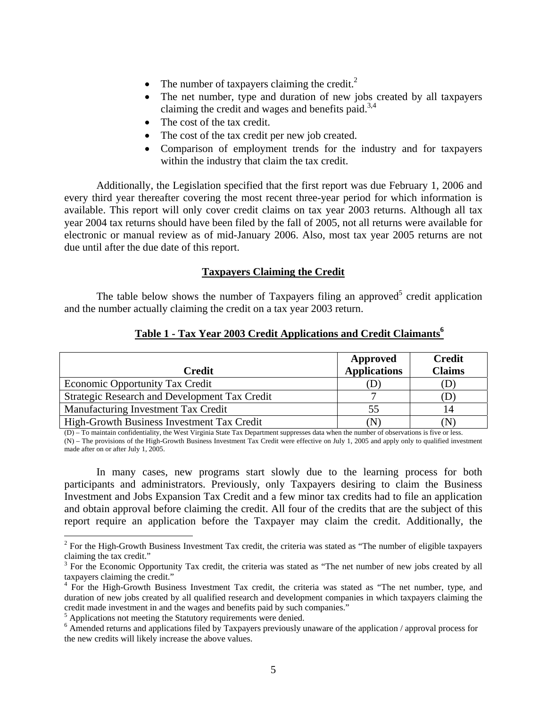- The number of taxpayers claiming the credit.<sup>2</sup>
- The net number, type and duration of new jobs created by all taxpayers claiming the credit and wages and benefits paid.<sup>3,4</sup>
- The cost of the tax credit.
- The cost of the tax credit per new job created.
- Comparison of employment trends for the industry and for taxpayers within the industry that claim the tax credit.

Additionally, the Legislation specified that the first report was due February 1, 2006 and every third year thereafter covering the most recent three-year period for which information is available. This report will only cover credit claims on tax year 2003 returns. Although all tax year 2004 tax returns should have been filed by the fall of 2005, not all returns were available for electronic or manual review as of mid-January 2006. Also, most tax year 2005 returns are not due until after the due date of this report.

#### **Taxpayers Claiming the Credit**

The table below shows the number of Taxpayers filing an approved<sup>5</sup> credit application and the number actually claiming the credit on a tax year 2003 return.

| Credit                                        | Approved<br><b>Applications</b> | <b>Credit</b><br><b>Claims</b> |
|-----------------------------------------------|---------------------------------|--------------------------------|
| <b>Economic Opportunity Tax Credit</b>        |                                 | (D)                            |
| Strategic Research and Development Tax Credit |                                 | (D                             |
| Manufacturing Investment Tax Credit           | 55                              | 14                             |
| High-Growth Business Investment Tax Credit    |                                 | 'N                             |

#### Table 1 - Tax Year 2003 Credit Applications and Credit Claimants<sup>6</sup>

(D) – To maintain confidentiality, the West Virginia State Tax Department suppresses data when the number of observations is five or less. (N) – The provisions of the High-Growth Business Investment Tax Credit were effective on July 1, 2005 and apply only to qualified investment made after on or after July 1, 2005.

In many cases, new programs start slowly due to the learning process for both participants and administrators. Previously, only Taxpayers desiring to claim the Business Investment and Jobs Expansion Tax Credit and a few minor tax credits had to file an application and obtain approval before claiming the credit. All four of the credits that are the subject of this report require an application before the Taxpayer may claim the credit. Additionally, the

 $\overline{a}$ 

 $2^2$  For the High-Growth Business Investment Tax credit, the criteria was stated as "The number of eligible taxpayers claiming the tax credit."

 $3$  For the Economic Opportunity Tax credit, the criteria was stated as "The net number of new jobs created by all taxpayers claiming the credit."

<sup>&</sup>lt;sup>4</sup> For the High-Growth Business Investment Tax credit, the criteria was stated as "The net number, type, and duration of new jobs created by all qualified research and development companies in which taxpayers claiming the credit made investment in and the wages and benefits paid by such companies."

 $^5$  Applications not meeting the Statutory requirements were denied.

<sup>&</sup>lt;sup>6</sup> Amended returns and applications filed by Taxpayers previously unaware of the application / approval process for the new credits will likely increase the above values.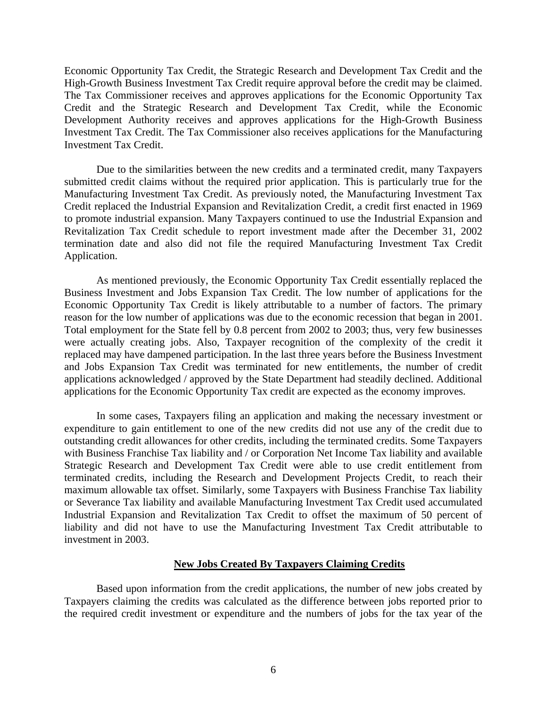Economic Opportunity Tax Credit, the Strategic Research and Development Tax Credit and the High-Growth Business Investment Tax Credit require approval before the credit may be claimed. The Tax Commissioner receives and approves applications for the Economic Opportunity Tax Credit and the Strategic Research and Development Tax Credit, while the Economic Development Authority receives and approves applications for the High-Growth Business Investment Tax Credit. The Tax Commissioner also receives applications for the Manufacturing Investment Tax Credit.

Due to the similarities between the new credits and a terminated credit, many Taxpayers submitted credit claims without the required prior application. This is particularly true for the Manufacturing Investment Tax Credit. As previously noted, the Manufacturing Investment Tax Credit replaced the Industrial Expansion and Revitalization Credit, a credit first enacted in 1969 to promote industrial expansion. Many Taxpayers continued to use the Industrial Expansion and Revitalization Tax Credit schedule to report investment made after the December 31, 2002 termination date and also did not file the required Manufacturing Investment Tax Credit Application.

As mentioned previously, the Economic Opportunity Tax Credit essentially replaced the Business Investment and Jobs Expansion Tax Credit. The low number of applications for the Economic Opportunity Tax Credit is likely attributable to a number of factors. The primary reason for the low number of applications was due to the economic recession that began in 2001. Total employment for the State fell by 0.8 percent from 2002 to 2003; thus, very few businesses were actually creating jobs. Also, Taxpayer recognition of the complexity of the credit it replaced may have dampened participation. In the last three years before the Business Investment and Jobs Expansion Tax Credit was terminated for new entitlements, the number of credit applications acknowledged / approved by the State Department had steadily declined. Additional applications for the Economic Opportunity Tax credit are expected as the economy improves.

In some cases, Taxpayers filing an application and making the necessary investment or expenditure to gain entitlement to one of the new credits did not use any of the credit due to outstanding credit allowances for other credits, including the terminated credits. Some Taxpayers with Business Franchise Tax liability and / or Corporation Net Income Tax liability and available Strategic Research and Development Tax Credit were able to use credit entitlement from terminated credits, including the Research and Development Projects Credit, to reach their maximum allowable tax offset. Similarly, some Taxpayers with Business Franchise Tax liability or Severance Tax liability and available Manufacturing Investment Tax Credit used accumulated Industrial Expansion and Revitalization Tax Credit to offset the maximum of 50 percent of liability and did not have to use the Manufacturing Investment Tax Credit attributable to investment in 2003.

#### **New Jobs Created By Taxpayers Claiming Credits**

Based upon information from the credit applications, the number of new jobs created by Taxpayers claiming the credits was calculated as the difference between jobs reported prior to the required credit investment or expenditure and the numbers of jobs for the tax year of the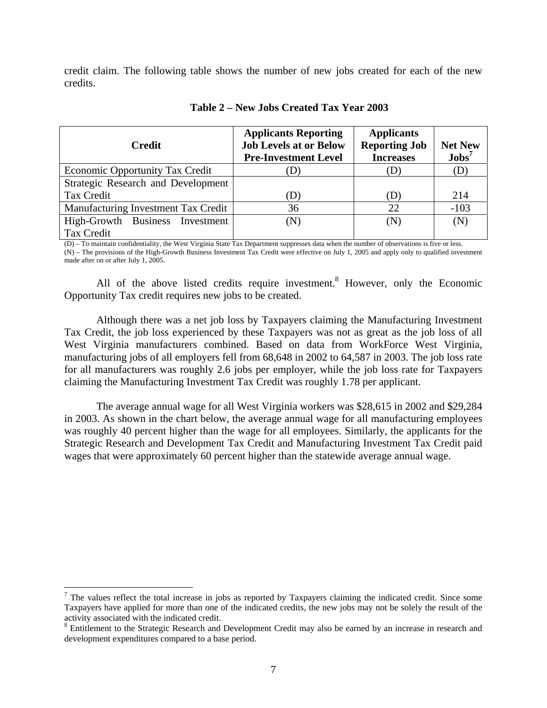credit claim. The following table shows the number of new jobs created for each of the new credits.

| <b>Credit</b>                          | <b>Applicants Reporting</b><br><b>Job Levels at or Below</b><br><b>Pre-Investment Level</b> | <b>Applicants</b><br><b>Reporting Job</b><br><b>Increases</b> | <b>Net New</b><br>$\mathbf{Jobs}^7$ |
|----------------------------------------|---------------------------------------------------------------------------------------------|---------------------------------------------------------------|-------------------------------------|
| <b>Economic Opportunity Tax Credit</b> | D)                                                                                          | (D)                                                           | (D)                                 |
| Strategic Research and Development     |                                                                                             |                                                               |                                     |
| Tax Credit                             | (D)                                                                                         | (D)                                                           | 214                                 |
| Manufacturing Investment Tax Credit    | 36                                                                                          | 22                                                            | $-103$                              |
| High-Growth Business Investment        | (N)                                                                                         | (N)                                                           | (N)                                 |
| Tax Credit                             |                                                                                             |                                                               |                                     |

#### **Table 2 – New Jobs Created Tax Year 2003**

(D) – To maintain confidentiality, the West Virginia State Tax Department suppresses data when the number of observations is five or less. (N) – The provisions of the High-Growth Business Investment Tax Credit were effective on July 1, 2005 and apply only to qualified investment made after on or after July 1, 2005.

All of the above listed credits require investment.<sup>8</sup> However, only the Economic Opportunity Tax credit requires new jobs to be created.

Although there was a net job loss by Taxpayers claiming the Manufacturing Investment Tax Credit, the job loss experienced by these Taxpayers was not as great as the job loss of all West Virginia manufacturers combined. Based on data from WorkForce West Virginia, manufacturing jobs of all employers fell from 68,648 in 2002 to 64,587 in 2003. The job loss rate for all manufacturers was roughly 2.6 jobs per employer, while the job loss rate for Taxpayers claiming the Manufacturing Investment Tax Credit was roughly 1.78 per applicant.

The average annual wage for all West Virginia workers was \$28,615 in 2002 and \$29,284 in 2003. As shown in the chart below, the average annual wage for all manufacturing employees was roughly 40 percent higher than the wage for all employees. Similarly, the applicants for the Strategic Research and Development Tax Credit and Manufacturing Investment Tax Credit paid wages that were approximately 60 percent higher than the statewide average annual wage.

 $\overline{a}$ 

 $<sup>7</sup>$  The values reflect the total increase in jobs as reported by Taxpayers claiming the indicated credit. Since some</sup> Taxpayers have applied for more than one of the indicated credits, the new jobs may not be solely the result of the activity associated with the indicated credit. 8

<sup>&</sup>lt;sup>8</sup> Entitlement to the Strategic Research and Development Credit may also be earned by an increase in research and development expenditures compared to a base period.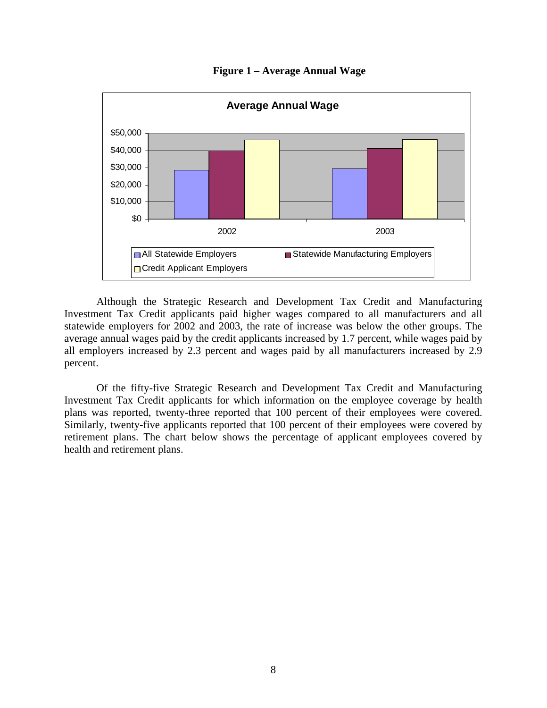

**Figure 1 – Average Annual Wage** 

Although the Strategic Research and Development Tax Credit and Manufacturing Investment Tax Credit applicants paid higher wages compared to all manufacturers and all statewide employers for 2002 and 2003, the rate of increase was below the other groups. The average annual wages paid by the credit applicants increased by 1.7 percent, while wages paid by all employers increased by 2.3 percent and wages paid by all manufacturers increased by 2.9 percent.

Of the fifty-five Strategic Research and Development Tax Credit and Manufacturing Investment Tax Credit applicants for which information on the employee coverage by health plans was reported, twenty-three reported that 100 percent of their employees were covered. Similarly, twenty-five applicants reported that 100 percent of their employees were covered by retirement plans. The chart below shows the percentage of applicant employees covered by health and retirement plans.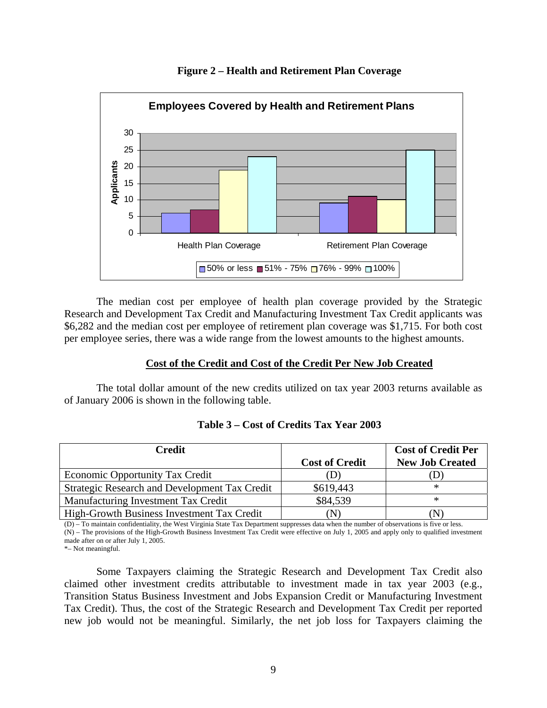



The median cost per employee of health plan coverage provided by the Strategic Research and Development Tax Credit and Manufacturing Investment Tax Credit applicants was \$6,282 and the median cost per employee of retirement plan coverage was \$1,715. For both cost per employee series, there was a wide range from the lowest amounts to the highest amounts.

#### **Cost of the Credit and Cost of the Credit Per New Job Created**

The total dollar amount of the new credits utilized on tax year 2003 returns available as of January 2006 is shown in the following table.

| <b>Credit</b>                                 |                       | <b>Cost of Credit Per</b> |
|-----------------------------------------------|-----------------------|---------------------------|
|                                               | <b>Cost of Credit</b> | <b>New Job Created</b>    |
| <b>Economic Opportunity Tax Credit</b>        |                       |                           |
| Strategic Research and Development Tax Credit | \$619,443             | ∗                         |
| Manufacturing Investment Tax Credit           | \$84,539              | ∗                         |
| High-Growth Business Investment Tax Credit    | N)                    |                           |

| Table 3 – Cost of Credits Tax Year 2003 |  |
|-----------------------------------------|--|
|-----------------------------------------|--|

(D) – To maintain confidentiality, the West Virginia State Tax Department suppresses data when the number of observations is five or less. (N) – The provisions of the High-Growth Business Investment Tax Credit were effective on July 1, 2005 and apply only to qualified investment made after on or after July 1, 2005.

\*– Not meaningful.

Some Taxpayers claiming the Strategic Research and Development Tax Credit also claimed other investment credits attributable to investment made in tax year 2003 (e.g., Transition Status Business Investment and Jobs Expansion Credit or Manufacturing Investment Tax Credit). Thus, the cost of the Strategic Research and Development Tax Credit per reported new job would not be meaningful. Similarly, the net job loss for Taxpayers claiming the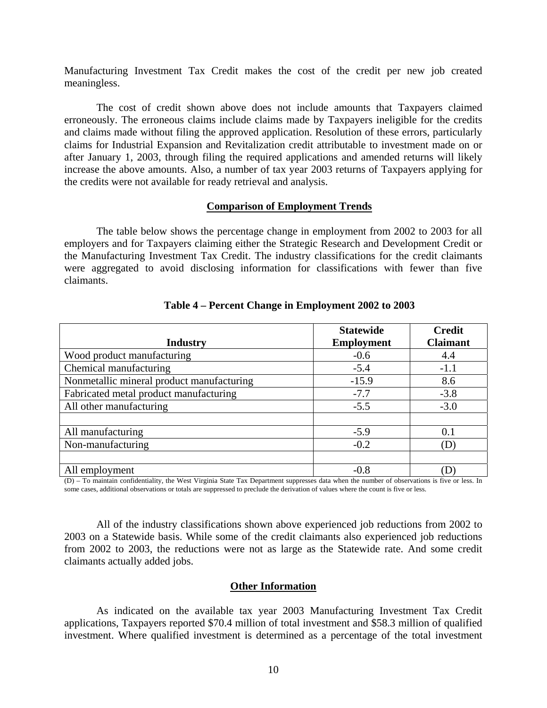Manufacturing Investment Tax Credit makes the cost of the credit per new job created meaningless.

The cost of credit shown above does not include amounts that Taxpayers claimed erroneously. The erroneous claims include claims made by Taxpayers ineligible for the credits and claims made without filing the approved application. Resolution of these errors, particularly claims for Industrial Expansion and Revitalization credit attributable to investment made on or after January 1, 2003, through filing the required applications and amended returns will likely increase the above amounts. Also, a number of tax year 2003 returns of Taxpayers applying for the credits were not available for ready retrieval and analysis.

#### **Comparison of Employment Trends**

The table below shows the percentage change in employment from 2002 to 2003 for all employers and for Taxpayers claiming either the Strategic Research and Development Credit or the Manufacturing Investment Tax Credit. The industry classifications for the credit claimants were aggregated to avoid disclosing information for classifications with fewer than five claimants.

|                                           | <b>Statewide</b>  | <b>Credit</b>   |
|-------------------------------------------|-------------------|-----------------|
| <b>Industry</b>                           | <b>Employment</b> | <b>Claimant</b> |
| Wood product manufacturing                | $-0.6$            | 4.4             |
| Chemical manufacturing                    | $-5.4$            | $-1.1$          |
| Nonmetallic mineral product manufacturing | $-15.9$           | 8.6             |
| Fabricated metal product manufacturing    | $-7.7$            | $-3.8$          |
| All other manufacturing                   | $-5.5$            | $-3.0$          |
|                                           |                   |                 |
| All manufacturing                         | $-5.9$            | 0.1             |
| Non-manufacturing                         | $-0.2$            | (D)             |
|                                           |                   |                 |
| All employment                            | $-0.8$            |                 |

#### **Table 4 – Percent Change in Employment 2002 to 2003**

(D) – To maintain confidentiality, the West Virginia State Tax Department suppresses data when the number of observations is five or less. In some cases, additional observations or totals are suppressed to preclude the derivation of values where the count is five or less.

All of the industry classifications shown above experienced job reductions from 2002 to 2003 on a Statewide basis. While some of the credit claimants also experienced job reductions from 2002 to 2003, the reductions were not as large as the Statewide rate. And some credit claimants actually added jobs.

#### **Other Information**

As indicated on the available tax year 2003 Manufacturing Investment Tax Credit applications, Taxpayers reported \$70.4 million of total investment and \$58.3 million of qualified investment. Where qualified investment is determined as a percentage of the total investment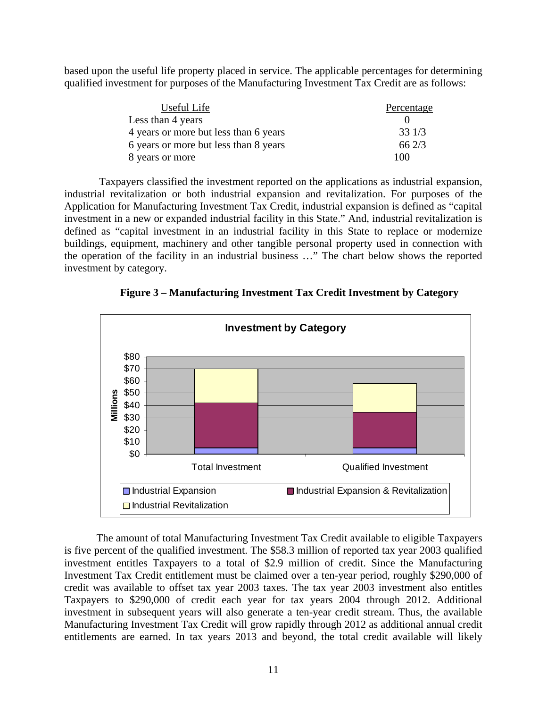based upon the useful life property placed in service. The applicable percentages for determining qualified investment for purposes of the Manufacturing Investment Tax Credit are as follows:

| Useful Life                           | Percentage |
|---------------------------------------|------------|
| Less than 4 years                     |            |
| 4 years or more but less than 6 years | 331/3      |
| 6 years or more but less than 8 years | 662/3      |
| 8 years or more                       | 100        |

 Taxpayers classified the investment reported on the applications as industrial expansion, industrial revitalization or both industrial expansion and revitalization. For purposes of the Application for Manufacturing Investment Tax Credit, industrial expansion is defined as "capital investment in a new or expanded industrial facility in this State." And, industrial revitalization is defined as "capital investment in an industrial facility in this State to replace or modernize buildings, equipment, machinery and other tangible personal property used in connection with the operation of the facility in an industrial business …" The chart below shows the reported investment by category.

**Figure 3 – Manufacturing Investment Tax Credit Investment by Category** 



The amount of total Manufacturing Investment Tax Credit available to eligible Taxpayers is five percent of the qualified investment. The \$58.3 million of reported tax year 2003 qualified investment entitles Taxpayers to a total of \$2.9 million of credit. Since the Manufacturing Investment Tax Credit entitlement must be claimed over a ten-year period, roughly \$290,000 of credit was available to offset tax year 2003 taxes. The tax year 2003 investment also entitles Taxpayers to \$290,000 of credit each year for tax years 2004 through 2012. Additional investment in subsequent years will also generate a ten-year credit stream. Thus, the available Manufacturing Investment Tax Credit will grow rapidly through 2012 as additional annual credit entitlements are earned. In tax years 2013 and beyond, the total credit available will likely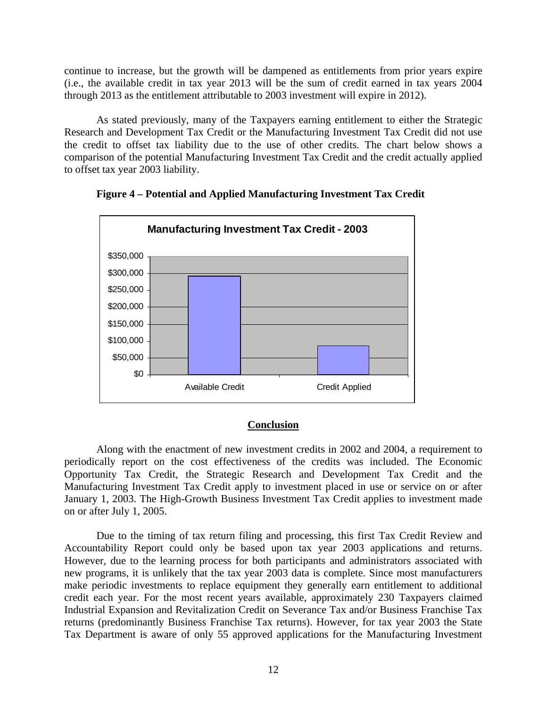continue to increase, but the growth will be dampened as entitlements from prior years expire (i.e., the available credit in tax year 2013 will be the sum of credit earned in tax years 2004 through 2013 as the entitlement attributable to 2003 investment will expire in 2012).

As stated previously, many of the Taxpayers earning entitlement to either the Strategic Research and Development Tax Credit or the Manufacturing Investment Tax Credit did not use the credit to offset tax liability due to the use of other credits. The chart below shows a comparison of the potential Manufacturing Investment Tax Credit and the credit actually applied to offset tax year 2003 liability.



**Figure 4 – Potential and Applied Manufacturing Investment Tax Credit** 

#### **Conclusion**

 Along with the enactment of new investment credits in 2002 and 2004, a requirement to periodically report on the cost effectiveness of the credits was included. The Economic Opportunity Tax Credit, the Strategic Research and Development Tax Credit and the Manufacturing Investment Tax Credit apply to investment placed in use or service on or after January 1, 2003. The High-Growth Business Investment Tax Credit applies to investment made on or after July 1, 2005.

Due to the timing of tax return filing and processing, this first Tax Credit Review and Accountability Report could only be based upon tax year 2003 applications and returns. However, due to the learning process for both participants and administrators associated with new programs, it is unlikely that the tax year 2003 data is complete. Since most manufacturers make periodic investments to replace equipment they generally earn entitlement to additional credit each year. For the most recent years available, approximately 230 Taxpayers claimed Industrial Expansion and Revitalization Credit on Severance Tax and/or Business Franchise Tax returns (predominantly Business Franchise Tax returns). However, for tax year 2003 the State Tax Department is aware of only 55 approved applications for the Manufacturing Investment